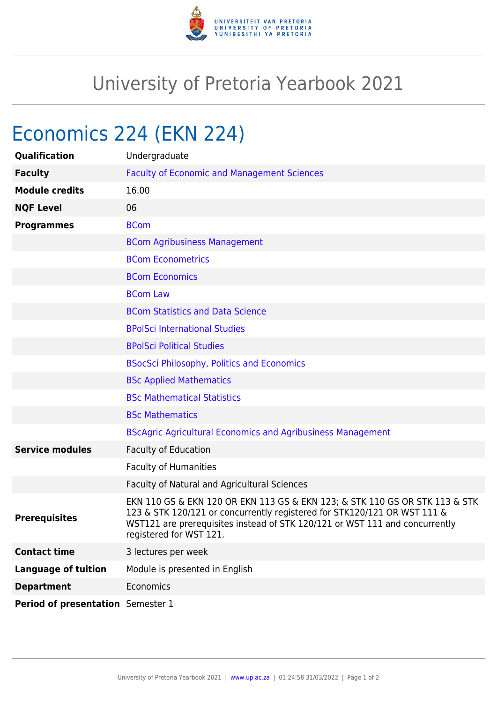

## University of Pretoria Yearbook 2021

## Economics 224 (EKN 224)

| Qualification                     | Undergraduate                                                                                                                                                                                                                                                     |
|-----------------------------------|-------------------------------------------------------------------------------------------------------------------------------------------------------------------------------------------------------------------------------------------------------------------|
| <b>Faculty</b>                    | <b>Faculty of Economic and Management Sciences</b>                                                                                                                                                                                                                |
| <b>Module credits</b>             | 16.00                                                                                                                                                                                                                                                             |
| <b>NQF Level</b>                  | 06                                                                                                                                                                                                                                                                |
| <b>Programmes</b>                 | <b>BCom</b>                                                                                                                                                                                                                                                       |
|                                   | <b>BCom Agribusiness Management</b>                                                                                                                                                                                                                               |
|                                   | <b>BCom Econometrics</b>                                                                                                                                                                                                                                          |
|                                   | <b>BCom Economics</b>                                                                                                                                                                                                                                             |
|                                   | <b>BCom Law</b>                                                                                                                                                                                                                                                   |
|                                   | <b>BCom Statistics and Data Science</b>                                                                                                                                                                                                                           |
|                                   | <b>BPolSci International Studies</b>                                                                                                                                                                                                                              |
|                                   | <b>BPolSci Political Studies</b>                                                                                                                                                                                                                                  |
|                                   | <b>BSocSci Philosophy, Politics and Economics</b>                                                                                                                                                                                                                 |
|                                   | <b>BSc Applied Mathematics</b>                                                                                                                                                                                                                                    |
|                                   | <b>BSc Mathematical Statistics</b>                                                                                                                                                                                                                                |
|                                   | <b>BSc Mathematics</b>                                                                                                                                                                                                                                            |
|                                   | <b>BScAgric Agricultural Economics and Agribusiness Management</b>                                                                                                                                                                                                |
| <b>Service modules</b>            | <b>Faculty of Education</b>                                                                                                                                                                                                                                       |
|                                   | <b>Faculty of Humanities</b>                                                                                                                                                                                                                                      |
|                                   | Faculty of Natural and Agricultural Sciences                                                                                                                                                                                                                      |
| <b>Prerequisites</b>              | EKN 110 GS & EKN 120 OR EKN 113 GS & EKN 123; & STK 110 GS OR STK 113 & STK<br>123 & STK 120/121 or concurrently registered for STK120/121 OR WST 111 &<br>WST121 are prerequisites instead of STK 120/121 or WST 111 and concurrently<br>registered for WST 121. |
| <b>Contact time</b>               | 3 lectures per week                                                                                                                                                                                                                                               |
| <b>Language of tuition</b>        | Module is presented in English                                                                                                                                                                                                                                    |
| <b>Department</b>                 | Economics                                                                                                                                                                                                                                                         |
| Period of presentation Semester 1 |                                                                                                                                                                                                                                                                   |